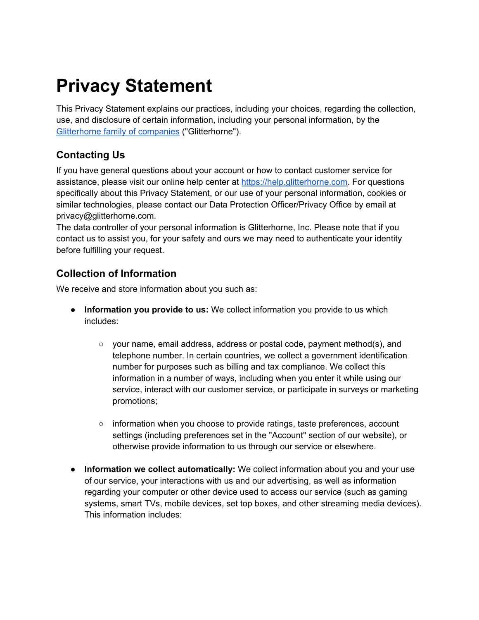# **Privacy Statement**

This Privacy Statement explains our practices, including your choices, regarding the collection, use, and disclosure of certain information, including your personal information, by the Glitterhorne family of companies ("Glitterhorne").

# **Contacting Us**

If you have general questions about your account or how to contact customer service for assistance, please visit our online help center at https://help.glitterhorne.com. For questions specifically about this Privacy Statement, or our use of your personal information, cookies or similar technologies, please contact our Data Protection Officer/Privacy Office by email at privacy@glitterhorne.com.

The data controller of your personal information is Glitterhorne, Inc. Please note that if you contact us to assist you, for your safety and ours we may need to authenticate your identity before fulfilling your request.

# **Collection of Information**

We receive and store information about you such as:

- **Information you provide to us:** We collect information you provide to us which includes:
	- $\circ$  your name, email address, address or postal code, payment method(s), and telephone number. In certain countries, we collect a government identification number for purposes such as billing and tax compliance. We collect this information in a number of ways, including when you enter it while using our service, interact with our customer service, or participate in surveys or marketing promotions;
	- information when you choose to provide ratings, taste preferences, account settings (including preferences set in the "Account" section of our website), or otherwise provide information to us through our service or elsewhere.
- **Information we collect automatically:** We collect information about you and your use of our service, your interactions with us and our advertising, as well as information regarding your computer or other device used to access our service (such as gaming systems, smart TVs, mobile devices, set top boxes, and other streaming media devices). This information includes: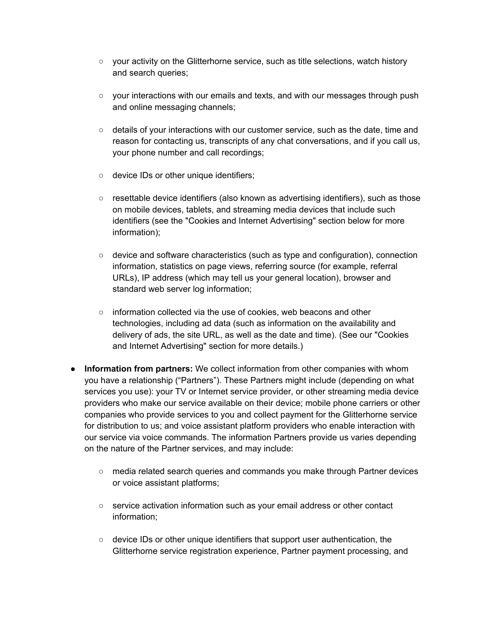- your activity on the Glitterhorne service, such as title selections, watch history and search queries;
- your interactions with our emails and texts, and with our messages through push and online messaging channels;
- $\circ$  details of your interactions with our customer service, such as the date, time and reason for contacting us, transcripts of any chat conversations, and if you call us, your phone number and call recordings;
- device IDs or other unique identifiers;
- resettable device identifiers (also known as advertising identifiers), such as those on mobile devices, tablets, and streaming media devices that include such identifiers (see the "Cookies and Internet Advertising" section below for more information);
- $\circ$  device and software characteristics (such as type and configuration), connection information, statistics on page views, referring source (for example, referral URLs), IP address (which may tell us your general location), browser and standard web server log information;
- $\circ$  information collected via the use of cookies, web beacons and other technologies, including ad data (such as information on the availability and delivery of ads, the site URL, as well as the date and time). (See our "Cookies and Internet Advertising" section for more details.)
- **Information from partners:** We collect information from other companies with whom you have a relationship ("Partners"). These Partners might include (depending on what services you use): your TV or Internet service provider, or other streaming media device providers who make our service available on their device; mobile phone carriers or other companies who provide services to you and collect payment for the Glitterhorne service for distribution to us; and voice assistant platform providers who enable interaction with our service via voice commands. The information Partners provide us varies depending on the nature of the Partner services, and may include:
	- media related search queries and commands you make through Partner devices or voice assistant platforms;
	- service activation information such as your email address or other contact information;
	- $\circ$  device IDs or other unique identifiers that support user authentication, the Glitterhorne service registration experience, Partner payment processing, and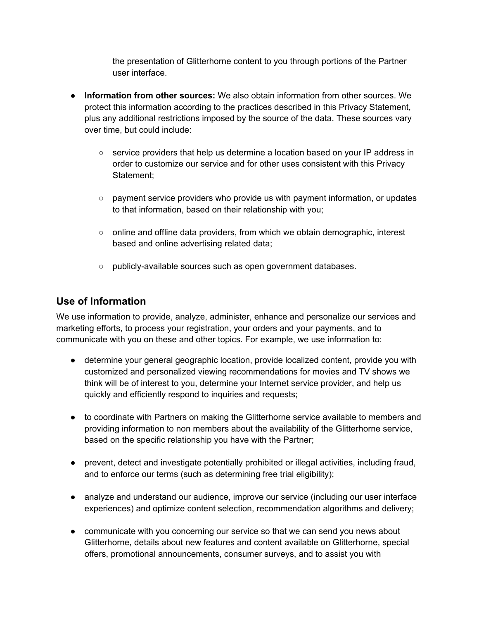the presentation of Glitterhorne content to you through portions of the Partner user interface.

- **Information from other sources:** We also obtain information from other sources. We protect this information according to the practices described in this Privacy Statement, plus any additional restrictions imposed by the source of the data. These sources vary over time, but could include:
	- $\circ$  service providers that help us determine a location based on your IP address in order to customize our service and for other uses consistent with this Privacy Statement;
	- payment service providers who provide us with payment information, or updates to that information, based on their relationship with you;
	- online and offline data providers, from which we obtain demographic, interest based and online advertising related data;
	- publicly-available sources such as open government databases.

#### **Use of Information**

We use information to provide, analyze, administer, enhance and personalize our services and marketing efforts, to process your registration, your orders and your payments, and to communicate with you on these and other topics. For example, we use information to:

- determine your general geographic location, provide localized content, provide you with customized and personalized viewing recommendations for movies and TV shows we think will be of interest to you, determine your Internet service provider, and help us quickly and efficiently respond to inquiries and requests;
- to coordinate with Partners on making the Glitterhorne service available to members and providing information to non members about the availability of the Glitterhorne service, based on the specific relationship you have with the Partner;
- prevent, detect and investigate potentially prohibited or illegal activities, including fraud, and to enforce our terms (such as determining free trial eligibility);
- analyze and understand our audience, improve our service (including our user interface experiences) and optimize content selection, recommendation algorithms and delivery;
- communicate with you concerning our service so that we can send you news about Glitterhorne, details about new features and content available on Glitterhorne, special offers, promotional announcements, consumer surveys, and to assist you with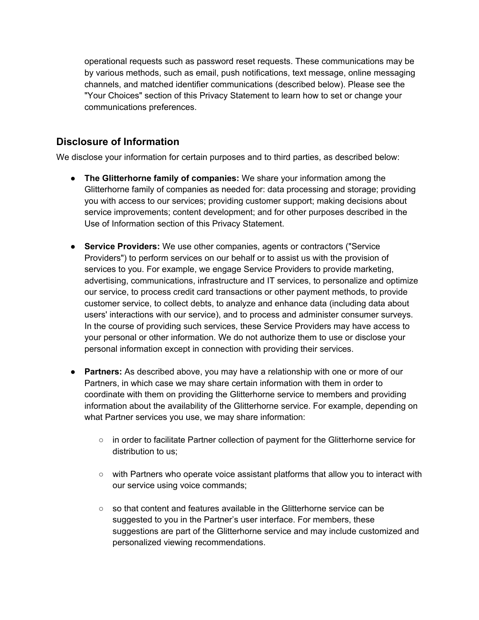operational requests such as password reset requests. These communications may be by various methods, such as email, push notifications, text message, online messaging channels, and matched identifier communications (described below). Please see the "Your Choices" section of this Privacy Statement to learn how to set or change your communications preferences.

#### **Disclosure of Information**

We disclose your information for certain purposes and to third parties, as described below:

- **The Glitterhorne family of companies:** We share your information among the Glitterhorne family of companies as needed for: data processing and storage; providing you with access to our services; providing customer support; making decisions about service improvements; content development; and for other purposes described in the Use of Information section of this Privacy Statement.
- **Service Providers:** We use other companies, agents or contractors ("Service Providers") to perform services on our behalf or to assist us with the provision of services to you. For example, we engage Service Providers to provide marketing, advertising, communications, infrastructure and IT services, to personalize and optimize our service, to process credit card transactions or other payment methods, to provide customer service, to collect debts, to analyze and enhance data (including data about users' interactions with our service), and to process and administer consumer surveys. In the course of providing such services, these Service Providers may have access to your personal or other information. We do not authorize them to use or disclose your personal information except in connection with providing their services.
- **Partners:** As described above, you may have a relationship with one or more of our Partners, in which case we may share certain information with them in order to coordinate with them on providing the Glitterhorne service to members and providing information about the availability of the Glitterhorne service. For example, depending on what Partner services you use, we may share information:
	- in order to facilitate Partner collection of payment for the Glitterhorne service for distribution to us;
	- with Partners who operate voice assistant platforms that allow you to interact with our service using voice commands;
	- so that content and features available in the Glitterhorne service can be suggested to you in the Partner's user interface. For members, these suggestions are part of the Glitterhorne service and may include customized and personalized viewing recommendations.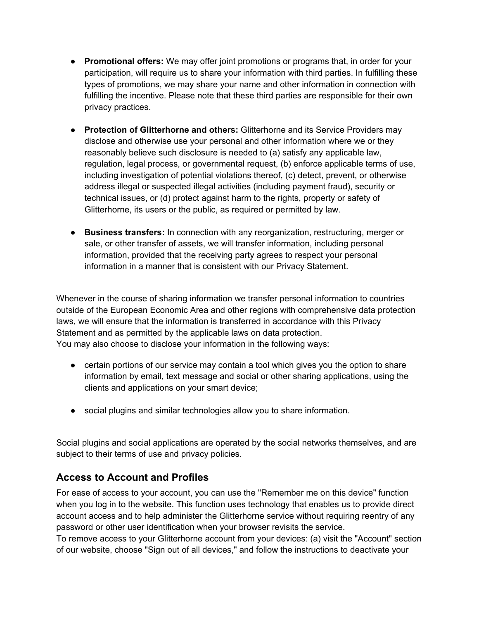- **Promotional offers:** We may offer joint promotions or programs that, in order for your participation, will require us to share your information with third parties. In fulfilling these types of promotions, we may share your name and other information in connection with fulfilling the incentive. Please note that these third parties are responsible for their own privacy practices.
- **Protection of Glitterhorne and others:** Glitterhorne and its Service Providers may disclose and otherwise use your personal and other information where we or they reasonably believe such disclosure is needed to (a) satisfy any applicable law, regulation, legal process, or governmental request, (b) enforce applicable terms of use, including investigation of potential violations thereof, (c) detect, prevent, or otherwise address illegal or suspected illegal activities (including payment fraud), security or technical issues, or (d) protect against harm to the rights, property or safety of Glitterhorne, its users or the public, as required or permitted by law.
- **Business transfers:** In connection with any reorganization, restructuring, merger or sale, or other transfer of assets, we will transfer information, including personal information, provided that the receiving party agrees to respect your personal information in a manner that is consistent with our Privacy Statement.

Whenever in the course of sharing information we transfer personal information to countries outside of the European Economic Area and other regions with comprehensive data protection laws, we will ensure that the information is transferred in accordance with this Privacy Statement and as permitted by the applicable laws on data protection. You may also choose to disclose your information in the following ways:

- certain portions of our service may contain a tool which gives you the option to share information by email, text message and social or other sharing applications, using the clients and applications on your smart device;
- social plugins and similar technologies allow you to share information.

Social plugins and social applications are operated by the social networks themselves, and are subject to their terms of use and privacy policies.

## **Access to Account and Profiles**

For ease of access to your account, you can use the "Remember me on this device" function when you log in to the website. This function uses technology that enables us to provide direct account access and to help administer the Glitterhorne service without requiring reentry of any password or other user identification when your browser revisits the service.

To remove access to your Glitterhorne account from your devices: (a) visit the "Account" section of our website, choose "Sign out of all devices," and follow the instructions to deactivate your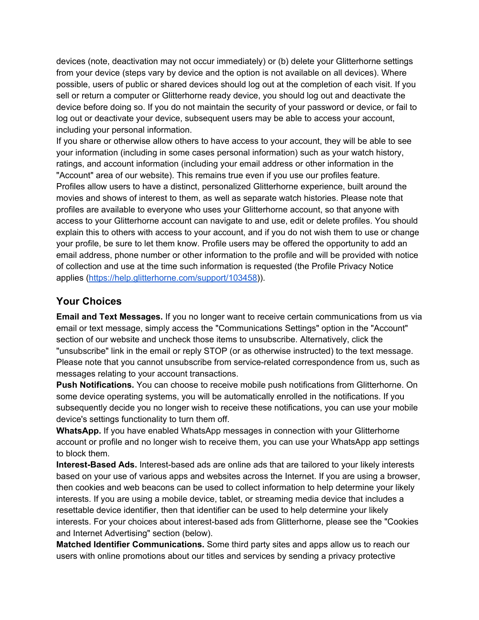devices (note, deactivation may not occur immediately) or (b) delete your Glitterhorne settings from your device (steps vary by device and the option is not available on all devices). Where possible, users of public or shared devices should log out at the completion of each visit. If you sell or return a computer or Glitterhorne ready device, you should log out and deactivate the device before doing so. If you do not maintain the security of your password or device, or fail to log out or deactivate your device, subsequent users may be able to access your account, including your personal information.

If you share or otherwise allow others to have access to your account, they will be able to see your information (including in some cases personal information) such as your watch history, ratings, and account information (including your email address or other information in the "Account" area of our website). This remains true even if you use our profiles feature. Profiles allow users to have a distinct, personalized Glitterhorne experience, built around the movies and shows of interest to them, as well as separate watch histories. Please note that profiles are available to everyone who uses your Glitterhorne account, so that anyone with access to your Glitterhorne account can navigate to and use, edit or delete profiles. You should explain this to others with access to your account, and if you do not wish them to use or change your profile, be sure to let them know. Profile users may be offered the opportunity to add an email address, phone number or other information to the profile and will be provided with notice of collection and use at the time such information is requested (the Profile Privacy Notice applies (https://help.glitterhorne.com/support/103458)).

#### **Your Choices**

**Email and Text Messages.** If you no longer want to receive certain communications from us via email or text message, simply access the "Communications Settings" option in the "Account" section of our website and uncheck those items to unsubscribe. Alternatively, click the "unsubscribe" link in the email or reply STOP (or as otherwise instructed) to the text message. Please note that you cannot unsubscribe from service-related correspondence from us, such as messages relating to your account transactions.

**Push Notifications.** You can choose to receive mobile push notifications from Glitterhorne. On some device operating systems, you will be automatically enrolled in the notifications. If you subsequently decide you no longer wish to receive these notifications, you can use your mobile device's settings functionality to turn them off.

**WhatsApp.** If you have enabled WhatsApp messages in connection with your Glitterhorne account or profile and no longer wish to receive them, you can use your WhatsApp app settings to block them.

**Interest-Based Ads.** Interest-based ads are online ads that are tailored to your likely interests based on your use of various apps and websites across the Internet. If you are using a browser, then cookies and web beacons can be used to collect information to help determine your likely interests. If you are using a mobile device, tablet, or streaming media device that includes a resettable device identifier, then that identifier can be used to help determine your likely interests. For your choices about interest-based ads from Glitterhorne, please see the "Cookies and Internet Advertising" section (below).

**Matched Identifier Communications.** Some third party sites and apps allow us to reach our users with online promotions about our titles and services by sending a privacy protective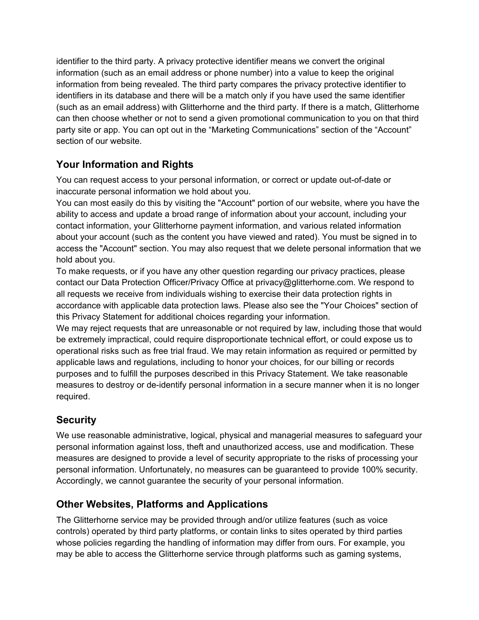identifier to the third party. A privacy protective identifier means we convert the original information (such as an email address or phone number) into a value to keep the original information from being revealed. The third party compares the privacy protective identifier to identifiers in its database and there will be a match only if you have used the same identifier (such as an email address) with Glitterhorne and the third party. If there is a match, Glitterhorne can then choose whether or not to send a given promotional communication to you on that third party site or app. You can opt out in the "Marketing Communications" section of the "Account" section of our website.

# **Your Information and Rights**

You can request access to your personal information, or correct or update out-of-date or inaccurate personal information we hold about you.

You can most easily do this by visiting the "Account" portion of our website, where you have the ability to access and update a broad range of information about your account, including your contact information, your Glitterhorne payment information, and various related information about your account (such as the content you have viewed and rated). You must be signed in to access the "Account" section. You may also request that we delete personal information that we hold about you.

To make requests, or if you have any other question regarding our privacy practices, please contact our Data Protection Officer/Privacy Office at privacy@glitterhorne.com. We respond to all requests we receive from individuals wishing to exercise their data protection rights in accordance with applicable data protection laws. Please also see the "Your Choices" section of this Privacy Statement for additional choices regarding your information.

We may reject requests that are unreasonable or not required by law, including those that would be extremely impractical, could require disproportionate technical effort, or could expose us to operational risks such as free trial fraud. We may retain information as required or permitted by applicable laws and regulations, including to honor your choices, for our billing or records purposes and to fulfill the purposes described in this Privacy Statement. We take reasonable measures to destroy or de-identify personal information in a secure manner when it is no longer required.

## **Security**

We use reasonable administrative, logical, physical and managerial measures to safeguard your personal information against loss, theft and unauthorized access, use and modification. These measures are designed to provide a level of security appropriate to the risks of processing your personal information. Unfortunately, no measures can be guaranteed to provide 100% security. Accordingly, we cannot guarantee the security of your personal information.

## **Other Websites, Platforms and Applications**

The Glitterhorne service may be provided through and/or utilize features (such as voice controls) operated by third party platforms, or contain links to sites operated by third parties whose policies regarding the handling of information may differ from ours. For example, you may be able to access the Glitterhorne service through platforms such as gaming systems,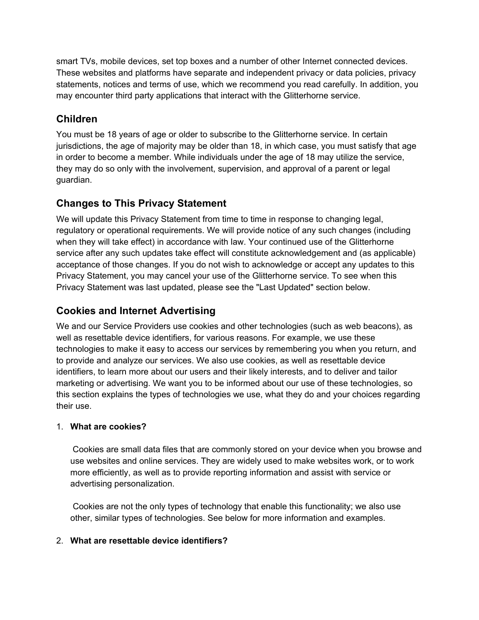smart TVs, mobile devices, set top boxes and a number of other Internet connected devices. These websites and platforms have separate and independent privacy or data policies, privacy statements, notices and terms of use, which we recommend you read carefully. In addition, you may encounter third party applications that interact with the Glitterhorne service.

# **Children**

You must be 18 years of age or older to subscribe to the Glitterhorne service. In certain jurisdictions, the age of majority may be older than 18, in which case, you must satisfy that age in order to become a member. While individuals under the age of 18 may utilize the service, they may do so only with the involvement, supervision, and approval of a parent or legal guardian.

## **Changes to This Privacy Statement**

We will update this Privacy Statement from time to time in response to changing legal, regulatory or operational requirements. We will provide notice of any such changes (including when they will take effect) in accordance with law. Your continued use of the Glitterhorne service after any such updates take effect will constitute acknowledgement and (as applicable) acceptance of those changes. If you do not wish to acknowledge or accept any updates to this Privacy Statement, you may cancel your use of the Glitterhorne service. To see when this Privacy Statement was last updated, please see the "Last Updated" section below.

## **Cookies and Internet Advertising**

We and our Service Providers use cookies and other technologies (such as web beacons), as well as resettable device identifiers, for various reasons. For example, we use these technologies to make it easy to access our services by remembering you when you return, and to provide and analyze our services. We also use cookies, as well as resettable device identifiers, to learn more about our users and their likely interests, and to deliver and tailor marketing or advertising. We want you to be informed about our use of these technologies, so this section explains the types of technologies we use, what they do and your choices regarding their use.

#### 1. **What are cookies?**

Cookies are small data files that are commonly stored on your device when you browse and use websites and online services. They are widely used to make websites work, or to work more efficiently, as well as to provide reporting information and assist with service or advertising personalization.

 Cookies are not the only types of technology that enable this functionality; we also use other, similar types of technologies. See below for more information and examples.

#### 2. **What are resettable device identifiers?**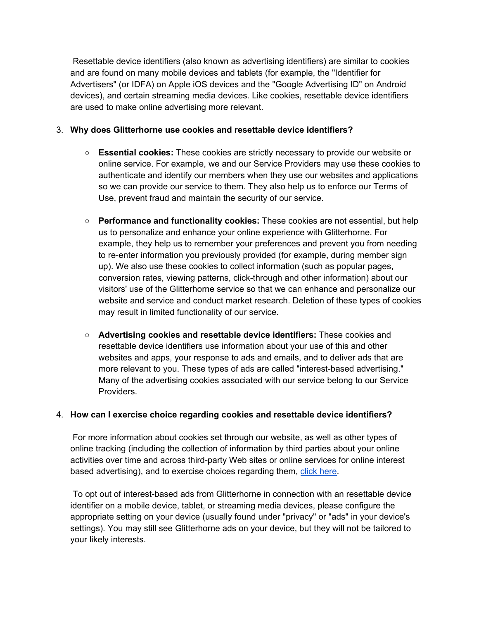Resettable device identifiers (also known as advertising identifiers) are similar to cookies and are found on many mobile devices and tablets (for example, the "Identifier for Advertisers" (or IDFA) on Apple iOS devices and the "Google Advertising ID" on Android devices), and certain streaming media devices. Like cookies, resettable device identifiers are used to make online advertising more relevant.

#### 3. **Why does Glitterhorne use cookies and resettable device identifiers?**

- **Essential cookies:** These cookies are strictly necessary to provide our website or online service. For example, we and our Service Providers may use these cookies to authenticate and identify our members when they use our websites and applications so we can provide our service to them. They also help us to enforce our Terms of Use, prevent fraud and maintain the security of our service.
- **Performance and functionality cookies:** These cookies are not essential, but help us to personalize and enhance your online experience with Glitterhorne. For example, they help us to remember your preferences and prevent you from needing to re-enter information you previously provided (for example, during member sign up). We also use these cookies to collect information (such as popular pages, conversion rates, viewing patterns, click-through and other information) about our visitors' use of the Glitterhorne service so that we can enhance and personalize our website and service and conduct market research. Deletion of these types of cookies may result in limited functionality of our service.
- **Advertising cookies and resettable device identifiers:** These cookies and resettable device identifiers use information about your use of this and other websites and apps, your response to ads and emails, and to deliver ads that are more relevant to you. These types of ads are called "interest-based advertising." Many of the advertising cookies associated with our service belong to our Service Providers.

#### 4. **How can I exercise choice regarding cookies and resettable device identifiers?**

For more information about cookies set through our website, as well as other types of online tracking (including the collection of information by third parties about your online activities over time and across third-party Web sites or online services for online interest based advertising), and to exercise choices regarding them, click here.

 To opt out of interest-based ads from Glitterhorne in connection with an resettable device identifier on a mobile device, tablet, or streaming media devices, please configure the appropriate setting on your device (usually found under "privacy" or "ads" in your device's settings). You may still see Glitterhorne ads on your device, but they will not be tailored to your likely interests.